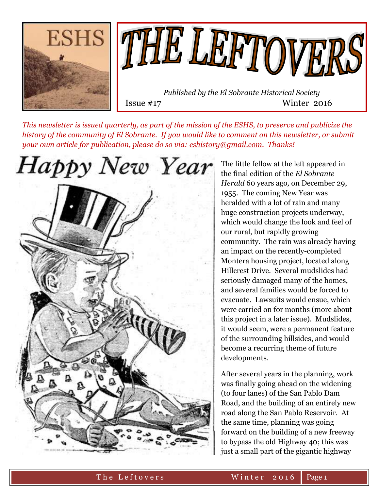



 *Published by the El Sobrante Historical Society*  Issue #17 Winter 2016

*This newsletter is issued quarterly, as part of the mission of the ESHS, to preserve and publicize the history of the community of El Sobrante. If you would like to comment on this newsletter, or submit your own article for publication, please do so via: [eshistory@gmail.com.](mailto:eshistory@gmail.com) Thanks!* 



The little fellow at the left appeared in the final edition of the *El Sobrante Herald* 60 years ago*,* on December 29, 1955. The coming New Year was heralded with a lot of rain and many huge construction projects underway, which would change the look and feel of our rural, but rapidly growing community. The rain was already having an impact on the recently-completed Montera housing project, located along Hillcrest Drive. Several mudslides had seriously damaged many of the homes, and several families would be forced to evacuate. Lawsuits would ensue, which were carried on for months (more about this project in a later issue). Mudslides, it would seem, were a permanent feature of the surrounding hillsides, and would become a recurring theme of future developments.

After several years in the planning, work was finally going ahead on the widening (to four lanes) of the San Pablo Dam Road, and the building of an entirely new road along the San Pablo Reservoir. At the same time, planning was going forward on the building of a new freeway to bypass the old Highway 40; this was just a small part of the gigantic highway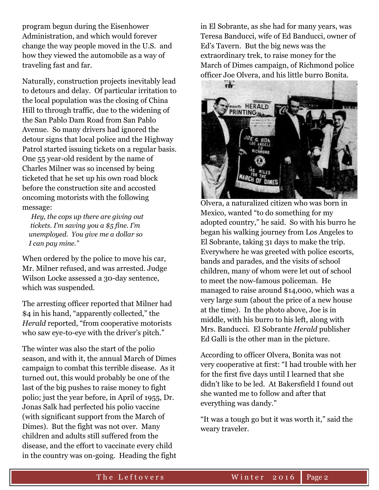program begun during the Eisenhower Administration, and which would forever change the way people moved in the U.S. and how they viewed the automobile as a way of traveling fast and far.

Naturally, construction projects inevitably lead to detours and delay. Of particular irritation to the local population was the closing of China Hill to through traffic, due to the widening of the San Pablo Dam Road from San Pablo Avenue. So many drivers had ignored the detour signs that local police and the Highway Patrol started issuing tickets on a regular basis. One 55 year-old resident by the name of Charles Milner was so incensed by being ticketed that he set up his own road block before the construction site and accosted oncoming motorists with the following message:

 *Hey, the cops up there are giving out tickets. I'm saving you a \$5 fine. I'm unemployed. You give me a dollar so I can pay mine."*

When ordered by the police to move his car, Mr. Milner refused, and was arrested. Judge Wilson Locke assessed a 30-day sentence, which was suspended.

The arresting officer reported that Milner had \$4 in his hand, "apparently collected," the *Herald* reported, "from cooperative motorists who saw eye-to-eye with the driver's pitch."

The winter was also the start of the polio season, and with it, the annual March of Dimes campaign to combat this terrible disease. As it turned out, this would probably be one of the last of the big pushes to raise money to fight polio; just the year before, in April of 1955, Dr. Jonas Salk had perfected his polio vaccine (with significant support from the March of Dimes). But the fight was not over. Many children and adults still suffered from the disease, and the effort to vaccinate every child in the country was on-going. Heading the fight in El Sobrante, as she had for many years, was Teresa Banducci, wife of Ed Banducci, owner of Ed's Tavern. But the big news was the extraordinary trek, to raise money for the March of Dimes campaign, of Richmond police officer Joe Olvera, and his little burro Bonita.



Olvera, a naturalized citizen who was born in Mexico, wanted "to do something for my adopted country," he said. So with his burro he began his walking journey from Los Angeles to El Sobrante, taking 31 days to make the trip. Everywhere he was greeted with police escorts, bands and parades, and the visits of school children, many of whom were let out of school to meet the now-famous policeman. He managed to raise around \$14,000, which was a very large sum (about the price of a new house at the time). In the photo above, Joe is in middle, with his burro to his left, along with Mrs. Banducci. El Sobrante *Herald* publisher Ed Galli is the other man in the picture.

According to officer Olvera, Bonita was not very cooperative at first: "I had trouble with her for the first five days until I learned that she didn't like to be led. At Bakersfield I found out she wanted me to follow and after that everything was dandy."

"It was a tough go but it was worth it," said the weary traveler.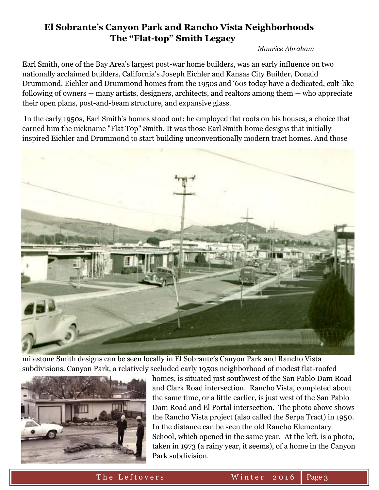# **El Sobrante's Canyon Park and Rancho Vista Neighborhoods The "Flat-top" Smith Legacy**

*Maurice Abraham*

Earl Smith, one of the Bay Area's largest post-war home builders, was an early influence on two nationally acclaimed builders, California's Joseph Eichler and Kansas City Builder, Donald Drummond. Eichler and Drummond homes from the 1950s and '60s today have a dedicated, cult-like following of owners -- many artists, designers, architects, and realtors among them -- who appreciate their open plans, post-and-beam structure, and expansive glass.

In the early 1950s, Earl Smith's homes stood out; he employed flat roofs on his houses, a choice that earned him the nickname "Flat Top" Smith. It was those Earl Smith home designs that initially inspired Eichler and Drummond to start building unconventionally modern tract homes. And those



milestone Smith designs can be seen locally in El Sobrante's Canyon Park and Rancho Vista subdivisions. Canyon Park, a relatively secluded early 1950s neighborhood of modest flat-roofed



homes, is situated just southwest of the San Pablo Dam Road and Clark Road intersection. Rancho Vista, completed about the same time, or a little earlier, is just west of the San Pablo Dam Road and El Portal intersection. The photo above shows the Rancho Vista project (also called the Serpa Tract) in 1950. In the distance can be seen the old Rancho Elementary School, which opened in the same year. At the left, is a photo, taken in 1973 (a rainy year, it seems), of a home in the Canyon Park subdivision.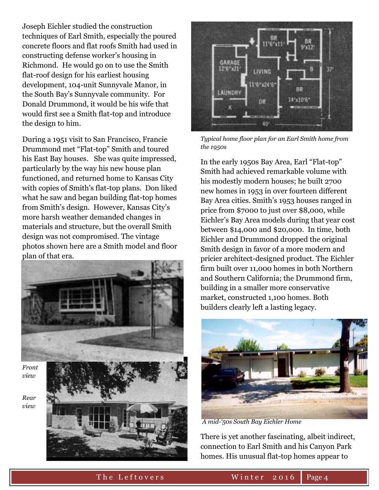Joseph Eichler studied the construction techniques of Earl Smith, especially the poured concrete floors and flat roofs Smith had used in constructing defense worker's housing in Richmond. He would go on to use the Smith flat-roof design for his earliest housing development, 104-unit Sunnyvale Manor, in the South Bay's Sunnyvale community. For Donald Drummond, it would be his wife that would first see a Smith flat-top and introduce the design to him.

During a 1951 visit to San Francisco, Francie Drummond met "Flat-top" Smith and toured his East Bay houses. She was quite impressed, particularly by the way his new house plan functioned, and returned home to Kansas City with copies of Smith's flat-top plans. Don liked what he saw and began building flat-top homes from Smith's design. However, Kansas City's more harsh weather demanded changes in materials and structure, but the overall Smith design was not compromised. The vintage photos shown here are a Smith model and floor plan of that era.



*Rear view* 



*Typical home floor plan for an Earl Smith home from the 1950s*

In the early 1950s Bay Area, Earl "Flat-top" Smith had achieved remarkable volume with his modestly modern houses; he built 2700 new homes in 1953 in over fourteen different Bay Area cities. Smith's 1953 houses ranged in price from \$7000 to just over \$8,000, while Eichler's Bay Area models during that year cost between \$14,000 and \$20,000. In time, both Eichler and Drummond dropped the original Smith design in favor of a more modern and pricier architect-designed product. The Eichler firm built over 11,000 homes in both Northern and Southern California; the Drummond firm, building in a smaller more conservative market, constructed 1,100 homes. Both builders clearly left a lasting legacy.



*A mid-'50s South Bay Eichler Home*

There is yet another fascinating, albeit indirect, connection to Earl Smith and his Canyon Park homes. His unusual flat-top homes appear to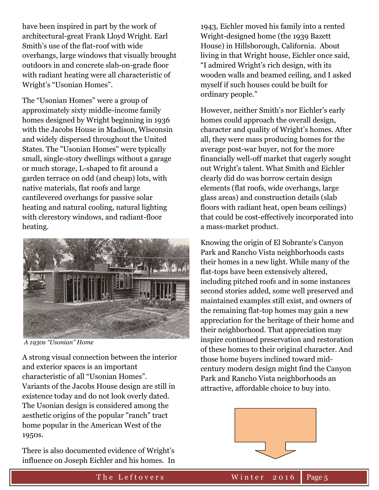have been inspired in part by the work of architectural-great Frank Lloyd Wright. Earl Smith's use of the flat-roof with wide overhangs, large windows that visually brought outdoors in and concrete slab-on-grade floor with radiant heating were all characteristic of Wright's "Usonian Homes".

The "Usonian Homes" were a group of approximately sixty middle-income family homes designed by Wright beginning in 1936 with the Jacobs House in Madison, Wisconsin and widely dispersed throughout the United States. The "Usonian Homes" were typically small, single-story dwellings without a garage or much storage, L-shaped to fit around a garden terrace on odd (and cheap) lots, with native materials, flat roofs and large cantilevered overhangs for passive solar heating and natural cooling, natural lighting with clerestory windows, and radiant-floor heating.



*A 1930s "Usonian" Home*

A strong visual connection between the interior and exterior spaces is an important characteristic of all "Usonian Homes". Variants of the Jacobs House design are still in existence today and do not look overly dated. The Usonian design is considered among the aesthetic origins of the popular "ranch" tract home popular in the American West of the 1950s.

There is also documented evidence of Wright's influence on Joseph Eichler and his homes. In

1943, Eichler moved his family into a rented Wright-designed home (the 1939 Bazett House) in Hillsborough, California. About living in that Wright house, Eichler once said, "I admired Wright's rich design, with its wooden walls and beamed ceiling, and I asked myself if such houses could be built for ordinary people."

However, neither Smith's nor Eichler's early homes could approach the overall design, character and quality of Wright's homes. After all, they were mass producing homes for the average post-war buyer, not for the more financially well-off market that eagerly sought out Wright's talent. What Smith and Eichler clearly did do was borrow certain design elements (flat roofs, wide overhangs, large glass areas) and construction details (slab floors with radiant heat, open beam ceilings) that could be cost-effectively incorporated into a mass-market product.

Knowing the origin of El Sobrante's Canyon Park and Rancho Vista neighborhoods casts their homes in a new light. While many of the flat-tops have been extensively altered, including pitched roofs and in some instances second stories added, some well preserved and maintained examples still exist, and owners of the remaining flat-top homes may gain a new appreciation for the heritage of their home and their neighborhood. That appreciation may inspire continued preservation and restoration of these homes to their original character. And those home buyers inclined toward midcentury modern design might find the Canyon Park and Rancho Vista neighborhoods an attractive, affordable choice to buy into.

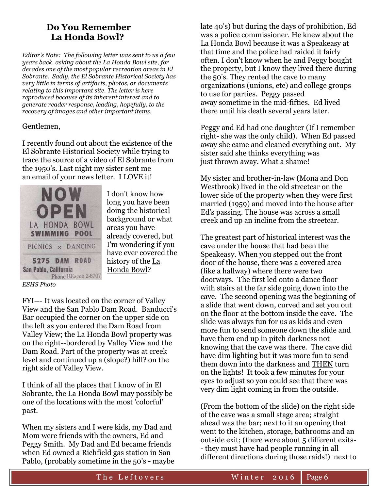# **Do You Remember La Honda Bowl?**

*Editor's Note: The following letter was sent to us a few years back, asking about the La Honda Bowl site, for decades one of the most popular recreation areas in El Sobrante. Sadly, the El Sobrante Historical Society has very little in terms of artifacts, photos, or documents relating to this important site. The letter is here reproduced because of its inherent interest and to generate reader response, leading, hopefully, to the recovery of images and other important items.*

### Gentlemen,

I recently found out about the existence of the El Sobrante Historical Society while trying to trace the source of a video of El Sobrante from the 1950's. Last night my sister sent me an email of your news letter. I LOVE it!



I don't know how long you have been doing the historical background or what areas you have already covered, but I'm wondering if you have ever covered the history of the La Honda Bowl?

*ESHS Photo*

FYI--- It was located on the corner of Valley View and the San Pablo Dam Road. Banducci's Bar occupied the corner on the upper side on the left as you entered the Dam Road from Valley View; the La Honda Bowl property was on the right--bordered by Valley View and the Dam Road. Part of the property was at creek level and continued up a (slope?) hill? on the right side of Valley View.

I think of all the places that I know of in El Sobrante, the La Honda Bowl may possibly be one of the locations with the most 'colorful' past.

When my sisters and I were kids, my Dad and Mom were friends with the owners, Ed and Peggy Smith. My Dad and Ed became friends when Ed owned a Richfield gas station in San Pablo, (probably sometime in the 50's - maybe late 40's) but during the days of prohibition, Ed was a police commissioner. He knew about the La Honda Bowl because it was a Speakeasy at that time and the police had raided it fairly often. I don't know when he and Peggy bought the property, but I know they lived there during the 50's. They rented the cave to many organizations (unions, etc) and college groups to use for parties. Peggy passed away sometime in the mid-fifties. Ed lived there until his death several years later.

Peggy and Ed had one daughter (If I remember right- she was the only child). When Ed passed away she came and cleaned everything out. My sister said she thinks everything was just thrown away. What a shame!

My sister and brother-in-law (Mona and Don Westbrook) lived in the old streetcar on the lower side of the property when they were first married (1959) and moved into the house after Ed's passing. The house was across a small creek and up an incline from the streetcar.

The greatest part of historical interest was the cave under the house that had been the Speakeasy. When you stepped out the front door of the house, there was a covered area (like a hallway) where there were two doorways. The first led onto a dance floor with stairs at the far side going down into the cave. The second opening was the beginning of a slide that went down, curved and set you out on the floor at the bottom inside the cave. The slide was always fun for us as kids and even more fun to send someone down the slide and have them end up in pitch darkness not knowing that the cave was there. The cave did have dim lighting but it was more fun to send them down into the darkness and THEN turn on the lights! It took a few minutes for your eyes to adjust so you could see that there was very dim light coming in from the outside.

(From the bottom of the slide) on the right side of the cave was a small stage area; straight ahead was the bar; next to it an opening that went to the kitchen, storage, bathrooms and an outside exit; (there were about 5 different exits- - they must have had people running in all different directions during those raids!) next to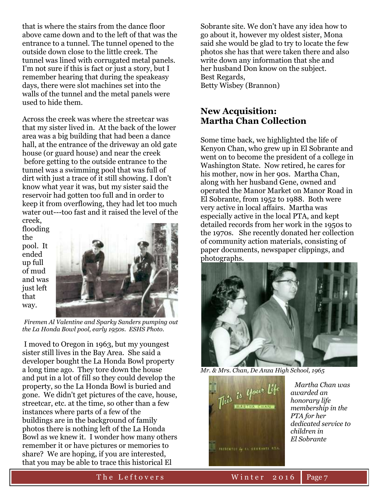that is where the stairs from the dance floor above came down and to the left of that was the entrance to a tunnel. The tunnel opened to the outside down close to the little creek. The tunnel was lined with corrugated metal panels. I'm not sure if this is fact or just a story, but I remember hearing that during the speakeasy days, there were slot machines set into the walls of the tunnel and the metal panels were used to hide them.

Across the creek was where the streetcar was that my sister lived in. At the back of the lower area was a big building that had been a dance hall, at the entrance of the driveway an old gate house (or guard house) and near the creek before getting to the outside entrance to the tunnel was a swimming pool that was full of dirt with just a trace of it still showing. I don't know what year it was, but my sister said the reservoir had gotten too full and in order to keep it from overflowing, they had let too much water out---too fast and it raised the level of the creek,

flooding the pool. It ended up full of mud and was just left that way.



*Firemen Al Valentine and Sparky Sanders pumping out the La Honda Bowl pool, early 1950s. ESHS Photo.*

I moved to Oregon in 1963, but my youngest sister still lives in the Bay Area. She said a developer bought the La Honda Bowl property a long time ago. They tore down the house and put in a lot of fill so they could develop the property, so the La Honda Bowl is buried and gone. We didn't get pictures of the cave, house, streetcar, etc. at the time, so other than a few instances where parts of a few of the buildings are in the background of family photos there is nothing left of the La Honda Bowl as we knew it. I wonder how many others remember it or have pictures or memories to share? We are hoping, if you are interested, that you may be able to trace this historical El

Sobrante site. We don't have any idea how to go about it, however my oldest sister, Mona said she would be glad to try to locate the few photos she has that were taken there and also write down any information that she and her husband Don know on the subject. Best Regards, Betty Wisbey (Brannon)

## **New Acquisition: Martha Chan Collection**

Some time back, we highlighted the life of Kenyon Chan, who grew up in El Sobrante and went on to become the president of a college in Washington State. Now retired, he cares for his mother, now in her 90s. Martha Chan, along with her husband Gene, owned and operated the Manor Market on Manor Road in El Sobrante, from 1952 to 1988. Both were very active in local affairs. Martha was especially active in the local PTA, and kept detailed records from her work in the 1950s to the 1970s. She recently donated her collection of community action materials, consisting of paper documents, newspaper clippings, and photographs.







 *Martha Chan was awarded an honorary life membership in the PTA for her dedicated service to children in El Sobrante*